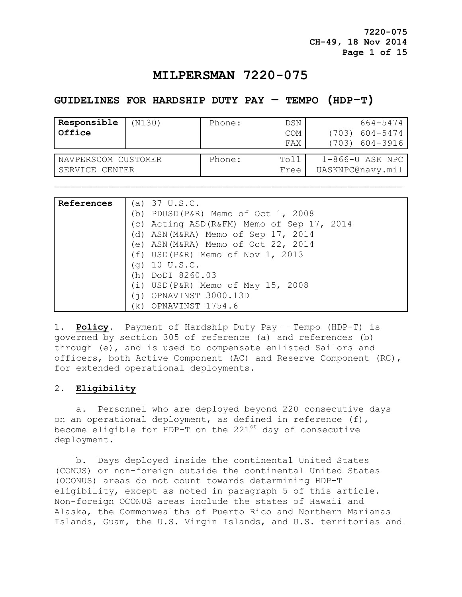**7220-075 CH-49, 18 Nov 2014 Page 1 of 15**

# **MILPERSMAN 7220-075**

## **GUIDELINES FOR HARDSHIP DUTY PAY – TEMPO (HDP-T)**

| Responsible<br>Office | (N130) | Phone: | DSN<br>COM<br>FAX | 664-5474<br>$(703)$ 604-5474<br>(703) 604-3916 |
|-----------------------|--------|--------|-------------------|------------------------------------------------|
| NAVPERSCOM CUSTOMER   |        | Phone: | Toll              | 1-866-U ASK NPC                                |
| SERVICE CENTER        |        |        | Free              | UASKNPC@navy.mil                               |

| References | (a) $37 \text{ U.S.C.}$                    |
|------------|--------------------------------------------|
|            | (b) PDUSD (P&R) Memo of Oct $1, 2008$      |
|            | (c) Acting ASD (R&FM) Memo of Sep 17, 2014 |
|            | (d) ASN (M&RA) Memo of Sep 17, 2014        |
|            | (e) ASN (M&RA) Memo of Oct 22, 2014        |
|            | $(f)$ USD(P&R) Memo of Nov 1, 2013         |
|            | $(q)$ 10 U.S.C.                            |
|            | DoDI 8260.03<br>(h)                        |
|            | $(i)$ USD(P&R) Memo of May 15, 2008        |
|            | OPNAVINST 3000.13D<br>(i)                  |
|            | OPNAVINST 1754.6<br>(k)                    |

1. **Policy.** Payment of Hardship Duty Pay – Tempo (HDP-T) is governed by section 305 of reference (a) and references (b) through (e), and is used to compensate enlisted Sailors and officers, both Active Component (AC) and Reserve Component (RC), for extended operational deployments.

### 2. **Eligibility**

 a. Personnel who are deployed beyond 220 consecutive days on an operational deployment, as defined in reference (f), become eligible for HDP-T on the  $221^{st}$  day of consecutive deployment.

 b. Days deployed inside the continental United States (CONUS) or non-foreign outside the continental United States (OCONUS) areas do not count towards determining HDP-T eligibility, except as noted in paragraph 5 of this article. Non-foreign OCONUS areas include the states of Hawaii and Alaska, the Commonwealths of Puerto Rico and Northern Marianas Islands, Guam, the U.S. Virgin Islands, and U.S. territories and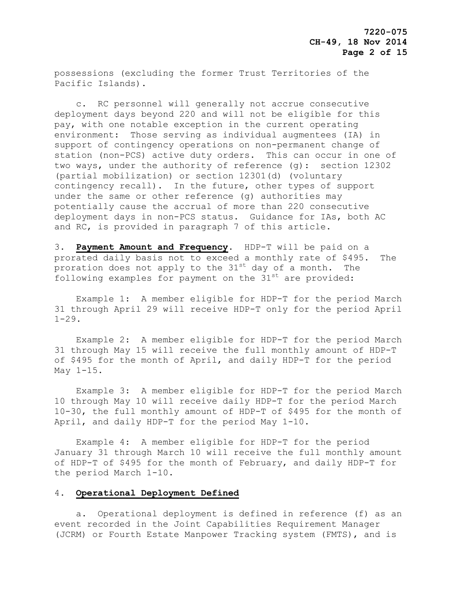possessions (excluding the former Trust Territories of the Pacific Islands).

 c. RC personnel will generally not accrue consecutive deployment days beyond 220 and will not be eligible for this pay, with one notable exception in the current operating environment: Those serving as individual augmentees (IA) in support of contingency operations on non-permanent change of station (non-PCS) active duty orders. This can occur in one of two ways, under the authority of reference (g): section 12302 (partial mobilization) or section 12301(d) (voluntary contingency recall). In the future, other types of support under the same or other reference (g) authorities may potentially cause the accrual of more than 220 consecutive deployment days in non-PCS status. Guidance for IAs, both AC and RC, is provided in paragraph 7 of this article.

3. **Payment Amount and Frequency**. HDP-T will be paid on a prorated daily basis not to exceed a monthly rate of \$495. The proration does not apply to the  $31^{st}$  day of a month. The following examples for payment on the  $31<sup>st</sup>$  are provided:

 Example 1: A member eligible for HDP-T for the period March 31 through April 29 will receive HDP-T only for the period April  $1 - 29$ .

 Example 2: A member eligible for HDP-T for the period March 31 through May 15 will receive the full monthly amount of HDP-T of \$495 for the month of April, and daily HDP-T for the period May 1-15.

 Example 3: A member eligible for HDP-T for the period March 10 through May 10 will receive daily HDP-T for the period March 10-30, the full monthly amount of HDP-T of \$495 for the month of April, and daily HDP-T for the period May 1-10.

 Example 4: A member eligible for HDP-T for the period January 31 through March 10 will receive the full monthly amount of HDP-T of \$495 for the month of February, and daily HDP-T for the period March 1-10.

#### 4. **Operational Deployment Defined**

 a. Operational deployment is defined in reference (f) as an event recorded in the Joint Capabilities Requirement Manager (JCRM) or Fourth Estate Manpower Tracking system (FMTS), and is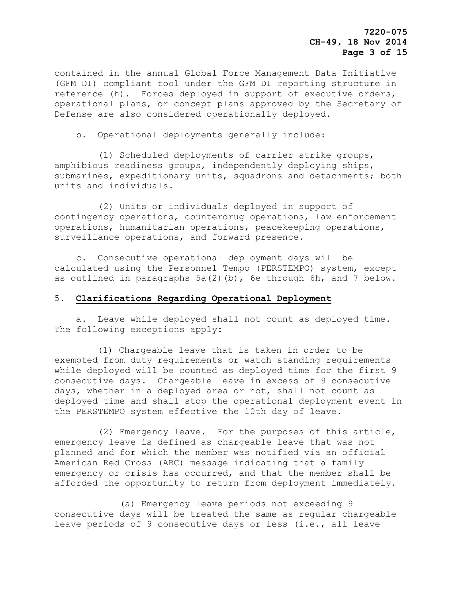contained in the annual Global Force Management Data Initiative (GFM DI) compliant tool under the GFM DI reporting structure in reference (h). Forces deployed in support of executive orders, operational plans, or concept plans approved by the Secretary of Defense are also considered operationally deployed.

b. Operational deployments generally include:

 (1) Scheduled deployments of carrier strike groups, amphibious readiness groups, independently deploying ships, submarines, expeditionary units, squadrons and detachments; both units and individuals.

 (2) Units or individuals deployed in support of contingency operations, counterdrug operations, law enforcement operations, humanitarian operations, peacekeeping operations, surveillance operations, and forward presence.

 c. Consecutive operational deployment days will be calculated using the Personnel Tempo (PERSTEMPO) system, except as outlined in paragraphs 5a(2)(b), 6e through 6h, and 7 below.

### 5. **Clarifications Regarding Operational Deployment**

 a. Leave while deployed shall not count as deployed time. The following exceptions apply:

 (1) Chargeable leave that is taken in order to be exempted from duty requirements or watch standing requirements while deployed will be counted as deployed time for the first 9 consecutive days. Chargeable leave in excess of 9 consecutive days, whether in a deployed area or not, shall not count as deployed time and shall stop the operational deployment event in the PERSTEMPO system effective the 10th day of leave.

 (2) Emergency leave. For the purposes of this article, emergency leave is defined as chargeable leave that was not planned and for which the member was notified via an official American Red Cross (ARC) message indicating that a family emergency or crisis has occurred, and that the member shall be afforded the opportunity to return from deployment immediately.

 (a) Emergency leave periods not exceeding 9 consecutive days will be treated the same as regular chargeable leave periods of 9 consecutive days or less (i.e., all leave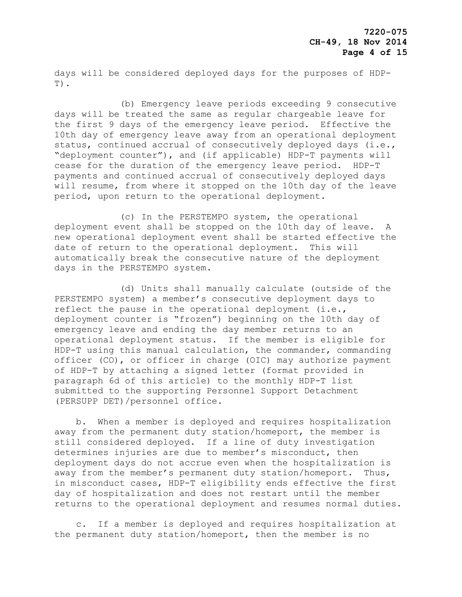days will be considered deployed days for the purposes of HDP-T).

 (b) Emergency leave periods exceeding 9 consecutive days will be treated the same as regular chargeable leave for the first 9 days of the emergency leave period. Effective the 10th day of emergency leave away from an operational deployment status, continued accrual of consecutively deployed days (i.e., "deployment counter"), and (if applicable) HDP-T payments will cease for the duration of the emergency leave period. HDP-T payments and continued accrual of consecutively deployed days will resume, from where it stopped on the 10th day of the leave period, upon return to the operational deployment.

 (c) In the PERSTEMPO system, the operational deployment event shall be stopped on the 10th day of leave. A new operational deployment event shall be started effective the date of return to the operational deployment. This will automatically break the consecutive nature of the deployment days in the PERSTEMPO system.

 (d) Units shall manually calculate (outside of the PERSTEMPO system) a member's consecutive deployment days to reflect the pause in the operational deployment (i.e., deployment counter is "frozen") beginning on the 10th day of emergency leave and ending the day member returns to an operational deployment status. If the member is eligible for HDP-T using this manual calculation, the commander, commanding officer (CO), or officer in charge (OIC) may authorize payment of HDP-T by attaching a signed letter (format provided in paragraph 6d of this article) to the monthly HDP-T list submitted to the supporting Personnel Support Detachment (PERSUPP DET)/personnel office.

 b. When a member is deployed and requires hospitalization away from the permanent duty station/homeport, the member is still considered deployed. If a line of duty investigation determines injuries are due to member's misconduct, then deployment days do not accrue even when the hospitalization is away from the member's permanent duty station/homeport. Thus, in misconduct cases, HDP-T eligibility ends effective the first day of hospitalization and does not restart until the member returns to the operational deployment and resumes normal duties.

 c. If a member is deployed and requires hospitalization at the permanent duty station/homeport, then the member is no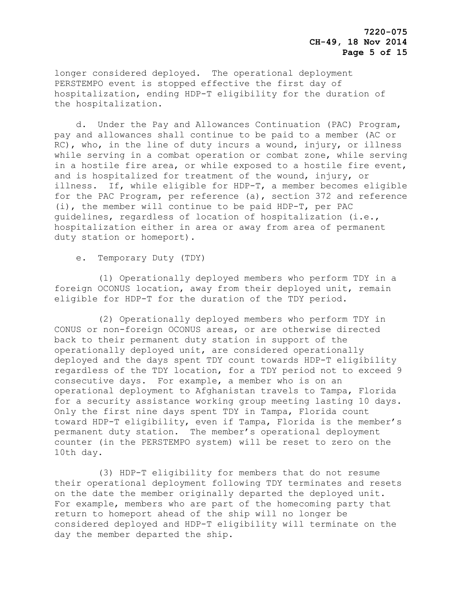longer considered deployed. The operational deployment PERSTEMPO event is stopped effective the first day of hospitalization, ending HDP-T eligibility for the duration of the hospitalization.

 d. Under the Pay and Allowances Continuation (PAC) Program, pay and allowances shall continue to be paid to a member (AC or RC), who, in the line of duty incurs a wound, injury, or illness while serving in a combat operation or combat zone, while serving in a hostile fire area, or while exposed to a hostile fire event, and is hospitalized for treatment of the wound, injury, or illness. If, while eligible for HDP-T, a member becomes eligible for the PAC Program, per reference (a), section 372 and reference (i), the member will continue to be paid HDP-T, per PAC guidelines, regardless of location of hospitalization (i.e., hospitalization either in area or away from area of permanent duty station or homeport).

e. Temporary Duty (TDY)

 (1) Operationally deployed members who perform TDY in a foreign OCONUS location, away from their deployed unit, remain eligible for HDP-T for the duration of the TDY period.

 (2) Operationally deployed members who perform TDY in CONUS or non-foreign OCONUS areas, or are otherwise directed back to their permanent duty station in support of the operationally deployed unit, are considered operationally deployed and the days spent TDY count towards HDP-T eligibility regardless of the TDY location, for a TDY period not to exceed 9 consecutive days. For example, a member who is on an operational deployment to Afghanistan travels to Tampa, Florida for a security assistance working group meeting lasting 10 days. Only the first nine days spent TDY in Tampa, Florida count toward HDP-T eligibility, even if Tampa, Florida is the member's permanent duty station. The member's operational deployment counter (in the PERSTEMPO system) will be reset to zero on the 10th day.

 (3) HDP-T eligibility for members that do not resume their operational deployment following TDY terminates and resets on the date the member originally departed the deployed unit. For example, members who are part of the homecoming party that return to homeport ahead of the ship will no longer be considered deployed and HDP-T eligibility will terminate on the day the member departed the ship.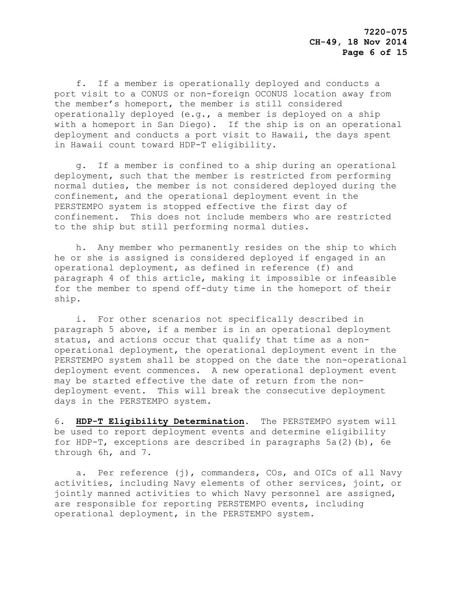f. If a member is operationally deployed and conducts a port visit to a CONUS or non-foreign OCONUS location away from the member's homeport, the member is still considered operationally deployed (e.g., a member is deployed on a ship with a homeport in San Diego). If the ship is on an operational deployment and conducts a port visit to Hawaii, the days spent in Hawaii count toward HDP-T eligibility.

 g. If a member is confined to a ship during an operational deployment, such that the member is restricted from performing normal duties, the member is not considered deployed during the confinement, and the operational deployment event in the PERSTEMPO system is stopped effective the first day of confinement. This does not include members who are restricted to the ship but still performing normal duties.

 h. Any member who permanently resides on the ship to which he or she is assigned is considered deployed if engaged in an operational deployment, as defined in reference (f) and paragraph 4 of this article, making it impossible or infeasible for the member to spend off-duty time in the homeport of their ship.

 i. For other scenarios not specifically described in paragraph 5 above, if a member is in an operational deployment status, and actions occur that qualify that time as a nonoperational deployment, the operational deployment event in the PERSTEMPO system shall be stopped on the date the non-operational deployment event commences. A new operational deployment event may be started effective the date of return from the nondeployment event. This will break the consecutive deployment days in the PERSTEMPO system.

6. **HDP-T Eligibility Determination**. The PERSTEMPO system will be used to report deployment events and determine eligibility for HDP-T, exceptions are described in paragraphs  $5a(2)$  (b), 6e through 6h, and 7.

a. Per reference (j), commanders, COs, and OICs of all Navy activities, including Navy elements of other services, joint, or jointly manned activities to which Navy personnel are assigned, are responsible for reporting PERSTEMPO events, including operational deployment, in the PERSTEMPO system.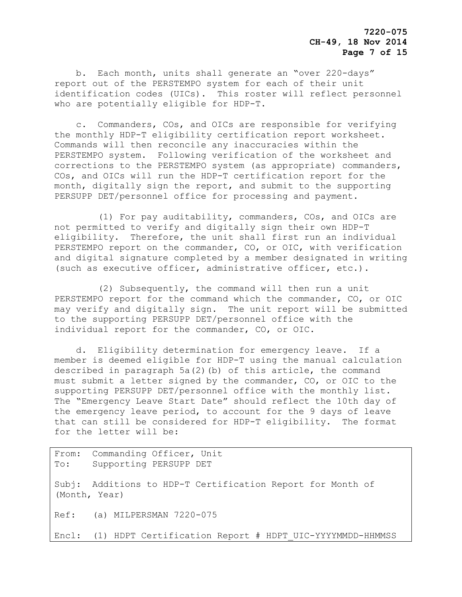b. Each month, units shall generate an "over 220-days" report out of the PERSTEMPO system for each of their unit identification codes (UICs). This roster will reflect personnel who are potentially eligible for HDP-T.

 c. Commanders, COs, and OICs are responsible for verifying the monthly HDP-T eligibility certification report worksheet. Commands will then reconcile any inaccuracies within the PERSTEMPO system. Following verification of the worksheet and corrections to the PERSTEMPO system (as appropriate) commanders, COs, and OICs will run the HDP-T certification report for the month, digitally sign the report, and submit to the supporting PERSUPP DET/personnel office for processing and payment.

 (1) For pay auditability, commanders, COs, and OICs are not permitted to verify and digitally sign their own HDP-T eligibility. Therefore, the unit shall first run an individual PERSTEMPO report on the commander, CO, or OIC, with verification and digital signature completed by a member designated in writing (such as executive officer, administrative officer, etc.).

 (2) Subsequently, the command will then run a unit PERSTEMPO report for the command which the commander, CO, or OIC may verify and digitally sign. The unit report will be submitted to the supporting PERSUPP DET/personnel office with the individual report for the commander, CO, or OIC.

 d. Eligibility determination for emergency leave. If a member is deemed eligible for HDP-T using the manual calculation described in paragraph 5a(2)(b) of this article, the command must submit a letter signed by the commander, CO, or OIC to the supporting PERSUPP DET/personnel office with the monthly list. The "Emergency Leave Start Date" should reflect the 10th day of the emergency leave period, to account for the 9 days of leave that can still be considered for HDP-T eligibility. The format for the letter will be:

From: Commanding Officer, Unit To: Supporting PERSUPP DET Subj: Additions to HDP-T Certification Report for Month of (Month, Year) Ref: (a) MILPERSMAN 7220-075 Encl: (1) HDPT Certification Report # HDPT\_UIC-YYYYMMDD-HHMMSS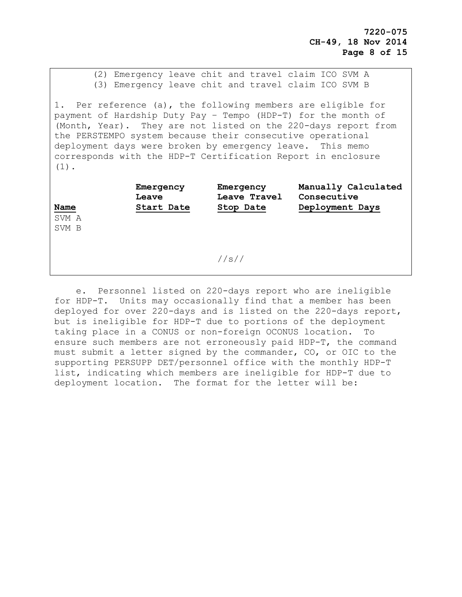(2) Emergency leave chit and travel claim ICO SVM A (3) Emergency leave chit and travel claim ICO SVM B

1. Per reference (a), the following members are eligible for payment of Hardship Duty Pay – Tempo (HDP-T) for the month of (Month, Year). They are not listed on the 220-days report from the PERSTEMPO system because their consecutive operational deployment days were broken by emergency leave. This memo corresponds with the HDP-T Certification Report in enclosure (1).

| Name           | Emergency<br>Leave<br>Start Date | Emergency<br>Leave Travel<br>Stop Date | Manually Calculated<br>Consecutive<br>Deployment Days |
|----------------|----------------------------------|----------------------------------------|-------------------------------------------------------|
| SVM A<br>SVM B |                                  |                                        |                                                       |
|                |                                  | //s//                                  |                                                       |

 e. Personnel listed on 220-days report who are ineligible for HDP-T. Units may occasionally find that a member has been deployed for over 220-days and is listed on the 220-days report, but is ineligible for HDP-T due to portions of the deployment taking place in a CONUS or non-foreign OCONUS location. To ensure such members are not erroneously paid HDP-T, the command must submit a letter signed by the commander, CO, or OIC to the supporting PERSUPP DET/personnel office with the monthly HDP-T list, indicating which members are ineligible for HDP-T due to deployment location. The format for the letter will be: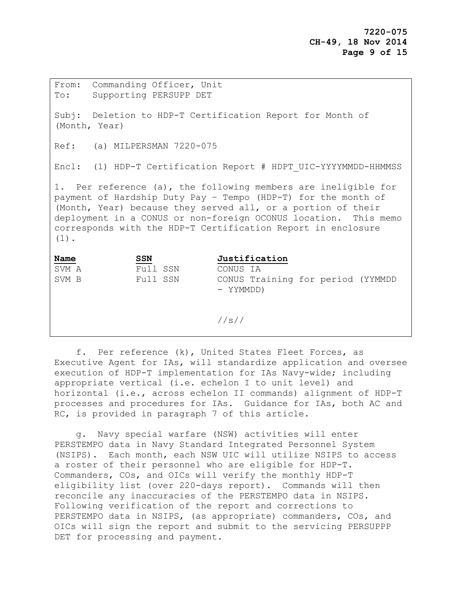From: Commanding Officer, Unit To: Supporting PERSUPP DET Subj: Deletion to HDP-T Certification Report for Month of (Month, Year) Ref: (a) MILPERSMAN 7220-075 Encl: (1) HDP-T Certification Report # HDPT\_UIC-YYYYMMDD-HHMMSS 1. Per reference (a), the following members are ineligible for payment of Hardship Duty Pay – Tempo (HDP-T) for the month of (Month, Year) because they served all, or a portion of their deployment in a CONUS or non-foreign OCONUS location. This memo corresponds with the HDP-T Certification Report in enclosure (1). **Name SSN Justification** SVM A Full SSN CONUS IA SVM B Full SSN CONUS Training for period (YYMMDD - YYMMDD)

//s//

 f. Per reference (k), United States Fleet Forces, as Executive Agent for IAs, will standardize application and oversee execution of HDP-T implementation for IAs Navy-wide; including appropriate vertical (i.e. echelon I to unit level) and horizontal (i.e., across echelon II commands) alignment of HDP-T processes and procedures for IAs. Guidance for IAs, both AC and RC, is provided in paragraph 7 of this article.

 g. Navy special warfare (NSW) activities will enter PERSTEMPO data in Navy Standard Integrated Personnel System (NSIPS). Each month, each NSW UIC will utilize NSIPS to access a roster of their personnel who are eligible for HDP-T. Commanders, COs, and OICs will verify the monthly HDP-T eligibility list (over 220-days report). Commands will then reconcile any inaccuracies of the PERSTEMPO data in NSIPS. Following verification of the report and corrections to PERSTEMPO data in NSIPS, (as appropriate) commanders, COs, and OICs will sign the report and submit to the servicing PERSUPPP DET for processing and payment.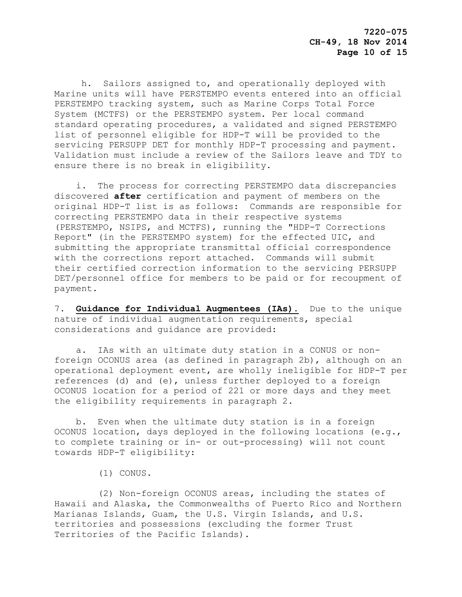h. Sailors assigned to, and operationally deployed with Marine units will have PERSTEMPO events entered into an official PERSTEMPO tracking system, such as Marine Corps Total Force System (MCTFS) or the PERSTEMPO system. Per local command standard operating procedures, a validated and signed PERSTEMPO list of personnel eligible for HDP-T will be provided to the servicing PERSUPP DET for monthly HDP-T processing and payment. Validation must include a review of the Sailors leave and TDY to ensure there is no break in eligibility.

 i. The process for correcting PERSTEMPO data discrepancies discovered **after** certification and payment of members on the original HDP-T list is as follows: Commands are responsible for correcting PERSTEMPO data in their respective systems (PERSTEMPO, NSIPS, and MCTFS), running the "HDP-T Corrections Report" (in the PERSTEMPO system) for the effected UIC, and submitting the appropriate transmittal official correspondence with the corrections report attached. Commands will submit their certified correction information to the servicing PERSUPP DET/personnel office for members to be paid or for recoupment of payment.

7. **Guidance for Individual Augmentees (IAs).** Due to the unique nature of individual augmentation requirements, special considerations and guidance are provided:

 a. IAs with an ultimate duty station in a CONUS or nonforeign OCONUS area (as defined in paragraph 2b), although on an operational deployment event, are wholly ineligible for HDP-T per references (d) and (e), unless further deployed to a foreign OCONUS location for a period of 221 or more days and they meet the eligibility requirements in paragraph 2.

 b. Even when the ultimate duty station is in a foreign OCONUS location, days deployed in the following locations (e.g., to complete training or in- or out-processing) will not count towards HDP-T eligibility:

(1) CONUS.

 (2) Non-foreign OCONUS areas, including the states of Hawaii and Alaska, the Commonwealths of Puerto Rico and Northern Marianas Islands, Guam, the U.S. Virgin Islands, and U.S. territories and possessions (excluding the former Trust Territories of the Pacific Islands).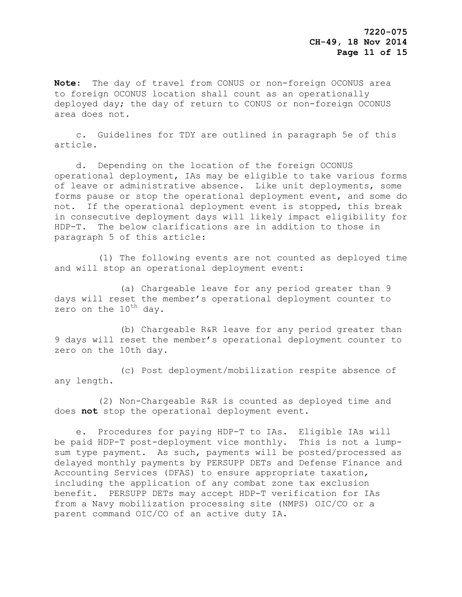**Note**: The day of travel from CONUS or non-foreign OCONUS area to foreign OCONUS location shall count as an operationally deployed day; the day of return to CONUS or non-foreign OCONUS area does not.

 c. Guidelines for TDY are outlined in paragraph 5e of this article.

 d. Depending on the location of the foreign OCONUS operational deployment, IAs may be eligible to take various forms of leave or administrative absence. Like unit deployments, some forms pause or stop the operational deployment event, and some do not. If the operational deployment event is stopped, this break in consecutive deployment days will likely impact eligibility for HDP-T. The below clarifications are in addition to those in paragraph 5 of this article:

 (1) The following events are not counted as deployed time and will stop an operational deployment event:

 (a) Chargeable leave for any period greater than 9 days will reset the member's operational deployment counter to zero on the  $10^{th}$  day.

 (b) Chargeable R&R leave for any period greater than 9 days will reset the member's operational deployment counter to zero on the 10th day.

 (c) Post deployment/mobilization respite absence of any length.

 (2) Non-Chargeable R&R is counted as deployed time and does **not** stop the operational deployment event.

 e. Procedures for paying HDP-T to IAs. Eligible IAs will be paid HDP-T post-deployment vice monthly. This is not a lumpsum type payment. As such, payments will be posted/processed as delayed monthly payments by PERSUPP DETs and Defense Finance and Accounting Services (DFAS) to ensure appropriate taxation, including the application of any combat zone tax exclusion benefit. PERSUPP DETs may accept HDP-T verification for IAs from a Navy mobilization processing site (NMPS) OIC/CO or a parent command OIC/CO of an active duty IA.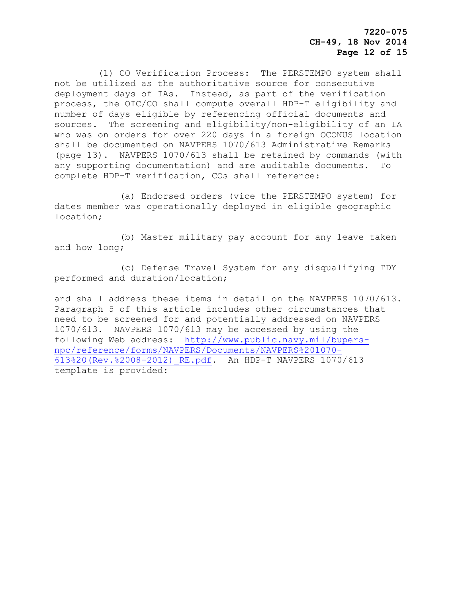**7220-075 CH-49, 18 Nov 2014 Page 12 of 15**

 (1) CO Verification Process: The PERSTEMPO system shall not be utilized as the authoritative source for consecutive deployment days of IAs. Instead, as part of the verification process, the OIC/CO shall compute overall HDP-T eligibility and number of days eligible by referencing official documents and sources. The screening and eligibility/non-eligibility of an IA who was on orders for over 220 days in a foreign OCONUS location shall be documented on NAVPERS 1070/613 Administrative Remarks (page 13). NAVPERS 1070/613 shall be retained by commands (with any supporting documentation) and are auditable documents. To complete HDP-T verification, COs shall reference:

 (a) Endorsed orders (vice the PERSTEMPO system) for dates member was operationally deployed in eligible geographic location;

 (b) Master military pay account for any leave taken and how long;

 (c) Defense Travel System for any disqualifying TDY performed and duration/location;

and shall address these items in detail on the NAVPERS 1070/613. Paragraph 5 of this article includes other circumstances that need to be screened for and potentially addressed on NAVPERS 1070/613. NAVPERS 1070/613 may be accessed by using the following Web address: [http://www.public.navy.mil/bupers](http://www.public.navy.mil/bupers-npc/reference/forms/NAVPERS/Documents/NAVPERS%201070-613%20(Rev.%2008-2012)_RE.pdf)[npc/reference/forms/NAVPERS/Documents/NAVPERS%201070-](http://www.public.navy.mil/bupers-npc/reference/forms/NAVPERS/Documents/NAVPERS%201070-613%20(Rev.%2008-2012)_RE.pdf) [613%20\(Rev.%2008-2012\)\\_RE.pdf.](http://www.public.navy.mil/bupers-npc/reference/forms/NAVPERS/Documents/NAVPERS%201070-613%20(Rev.%2008-2012)_RE.pdf) An HDP-T NAVPERS 1070/613 template is provided: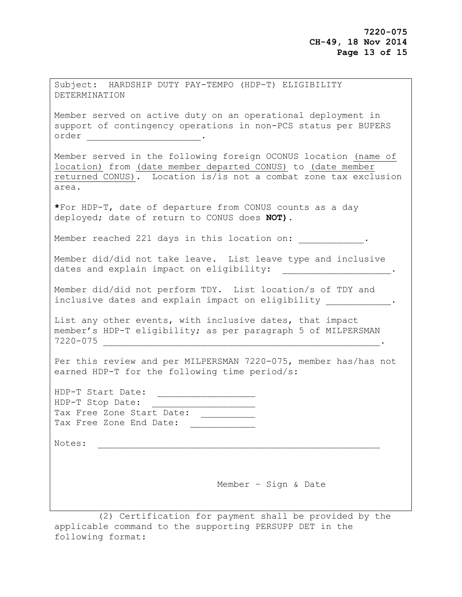| Subject: HARDSHIP DUTY PAY-TEMPO (HDP-T) ELIGIBILITY<br>DETERMINATION                                                                                                                                      |
|------------------------------------------------------------------------------------------------------------------------------------------------------------------------------------------------------------|
| Member served on active duty on an operational deployment in<br>support of contingency operations in non-PCS status per BUPERS                                                                             |
| Member served in the following foreign OCONUS location (name of<br>location) from (date member departed CONUS) to (date member<br>returned CONUS). Location is/is not a combat zone tax exclusion<br>area. |
| *For HDP-T, date of departure from CONUS counts as a day<br>deployed; date of return to CONUS does NOT).                                                                                                   |
| Member reached 221 days in this location on:                                                                                                                                                               |
| Member did/did not take leave. List leave type and inclusive<br>dates and explain impact on eligibility:<br>$\mathcal{L} = \{ \mathcal{L} \in \mathcal{L} \mid \mathcal{L} \in \mathcal{L} \}$             |
| Member did/did not perform TDY. List location/s of TDY and<br>inclusive dates and explain impact on eligibility .                                                                                          |
| List any other events, with inclusive dates, that impact<br>member's HDP-T eligibility; as per paragraph 5 of MILPERSMAN<br>$7220 - 075$                                                                   |
| Per this review and per MILPERSMAN 7220-075, member has/has not<br>earned HDP-T for the following time period/s:                                                                                           |
| HDP-T Start Date:<br>HDP-T Stop Date:<br><u> 1999 - Jan Jan Jan Jan Jan Jan</u><br>Tax Free Zone Start Date:<br>Tax Free Zone End Date:                                                                    |
| Notes:                                                                                                                                                                                                     |
|                                                                                                                                                                                                            |
| Member - Sign & Date                                                                                                                                                                                       |

 (2) Certification for payment shall be provided by the applicable command to the supporting PERSUPP DET in the following format: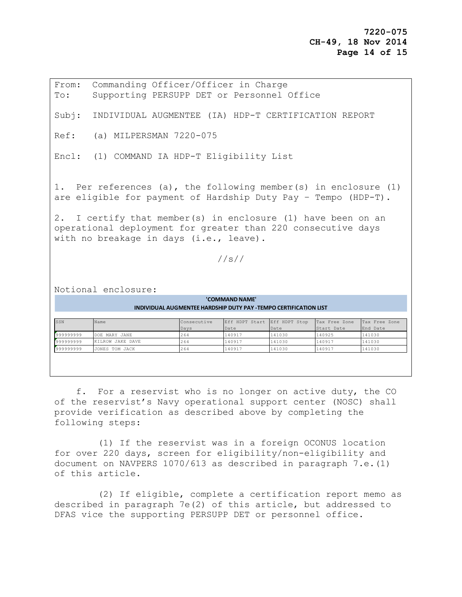From: Commanding Officer/Officer in Charge To: Supporting PERSUPP DET or Personnel Office Subj: INDIVIDUAL AUGMENTEE (IA) HDP-T CERTIFICATION REPORT Ref: (a) MILPERSMAN 7220-075 Encl: (1) COMMAND IA HDP-T Eligibility List 1. Per references (a), the following member(s) in enclosure (1) are eligible for payment of Hardship Duty Pay – Tempo (HDP-T). 2. I certify that member(s) in enclosure (1) have been on an operational deployment for greater than 220 consecutive days with no breakage in days (i.e., leave). //s// Notional enclosure: SSN Name Name Consecutive Days Eff HDPT Start Date Eff HDPT Stop Date Tax Free Zone Start Date Tax Free Zone End Date 999999999999 DOE MARY JANE 264 140917 141030 140925 141030 999999999 KILROW JAKE DAVE 264 140917 141030 140917 141030 999999999 JONES TOM JACK 264 140917 141030 140917 141030  **'COMMAND NAME' INDIVIDUAL AUGMENTEE HARDSHIP DUTY PAY -TEMPO CERTIFICATION LIST**

 f. For a reservist who is no longer on active duty, the CO of the reservist's Navy operational support center (NOSC) shall provide verification as described above by completing the following steps:

 (1) If the reservist was in a foreign OCONUS location for over 220 days, screen for eligibility/non-eligibility and document on NAVPERS 1070/613 as described in paragraph 7.e.(1) of this article.

 (2) If eligible, complete a certification report memo as described in paragraph 7e(2) of this article, but addressed to DFAS vice the supporting PERSUPP DET or personnel office.